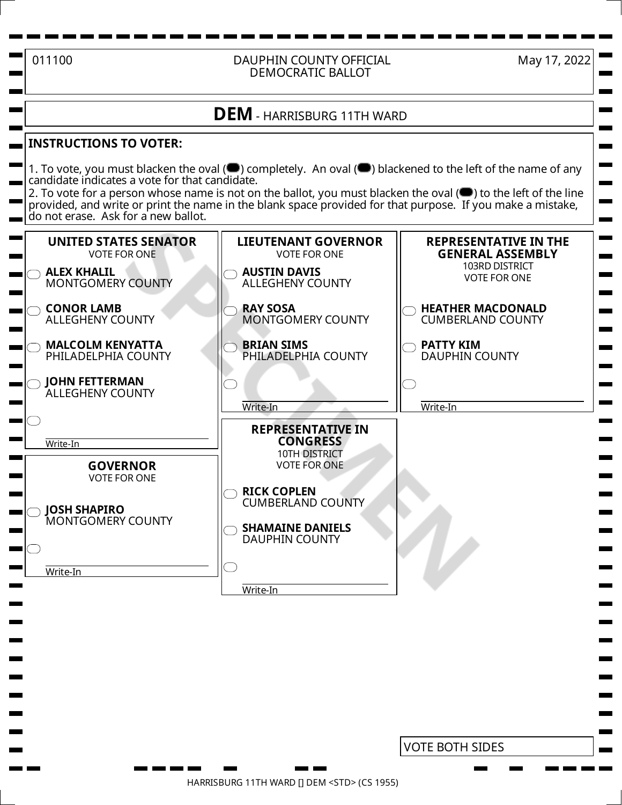## 011100 DAUPHIN COUNTY OFFICIAL DEMOCRATIC BALLOT

May 17, 2022

## **DEM** - HARRISBURG 11TH WARD

## **INSTRUCTIONS TO VOTER:**

1. To vote, you must blacken the oval (<sup>1</sup>) completely. An oval (<sup>1</sup>) blackened to the left of the name of any candidate indicates a vote for that candidate.

 $|$  2. To vote for a person whose name is not on the ballot, you must blacken the oval ( $\bullet$ ) to the left of the line provided, and write or print the name in the blank space provided for that purpose. If you make a mistake, do not erase. Ask for a new ballot.